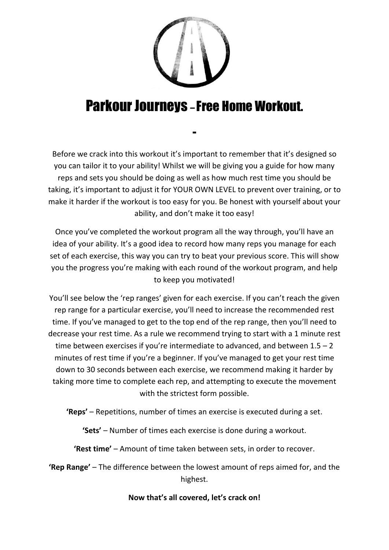

#### Parkour Journeys – Free Home Workout.

-

Before we crack into this workout it's important to remember that it's designed so you can tailor it to your ability! Whilst we will be giving you a guide for how many reps and sets you should be doing as well as how much rest time you should be taking, it's important to adjust it for YOUR OWN LEVEL to prevent over training, or to make it harder if the workout is too easy for you. Be honest with yourself about your ability, and don't make it too easy!

Once you've completed the workout program all the way through, you'll have an idea of your ability. It's a good idea to record how many reps you manage for each set of each exercise, this way you can try to beat your previous score. This will show you the progress you're making with each round of the workout program, and help to keep you motivated!

You'll see below the 'rep ranges' given for each exercise. If you can't reach the given rep range for a particular exercise, you'll need to increase the recommended rest time. If you've managed to get to the top end of the rep range, then you'll need to decrease your rest time. As a rule we recommend trying to start with a 1 minute rest time between exercises if you're intermediate to advanced, and between  $1.5 - 2$ minutes of rest time if you're a beginner. If you've managed to get your rest time down to 30 seconds between each exercise, we recommend making it harder by taking more time to complete each rep, and attempting to execute the movement with the strictest form possible.

**'Reps'** – Repetitions, number of times an exercise is executed during a set.

**'Sets'** – Number of times each exercise is done during a workout.

**'Rest time'** – Amount of time taken between sets, in order to recover.

**'Rep Range'** – The difference between the lowest amount of reps aimed for, and the highest.

#### **Now that's all covered, let's crack on!**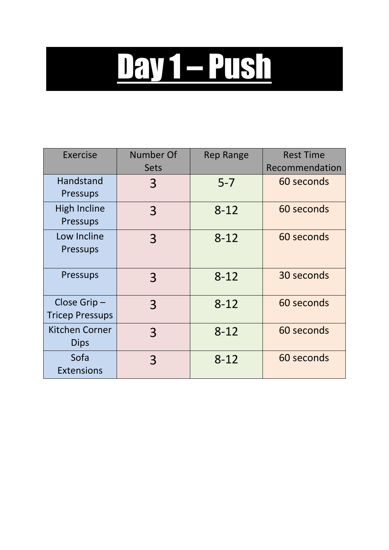# Day 1 – Push

| <b>Exercise</b>                       | Number Of      | <b>Rep Range</b> | <b>Rest Time</b> |
|---------------------------------------|----------------|------------------|------------------|
|                                       | <b>Sets</b>    |                  | Recommendation   |
| Handstand<br><b>Pressups</b>          | 3              | $5 - 7$          | 60 seconds       |
| <b>High Incline</b><br>Pressups       | 3              | $8 - 12$         | 60 seconds       |
| Low Incline<br><b>Pressups</b>        | $\overline{3}$ | $8 - 12$         | 60 seconds       |
| <b>Pressups</b>                       | 3              | $8 - 12$         | 30 seconds       |
| Close Grip-<br><b>Tricep Pressups</b> | 3              | $8 - 12$         | 60 seconds       |
| <b>Kitchen Corner</b><br><b>Dips</b>  | 3              | $8 - 12$         | 60 seconds       |
| Sofa<br><b>Extensions</b>             | 3              | $8 - 12$         | 60 seconds       |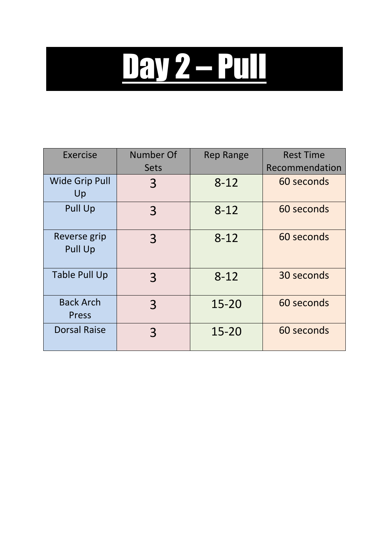## Day 2 – Pull

| Exercise                       | Number Of   | <b>Rep Range</b> | <b>Rest Time</b> |
|--------------------------------|-------------|------------------|------------------|
|                                | <b>Sets</b> |                  | Recommendation   |
| <b>Wide Grip Pull</b><br>Up    | 3           | $8 - 12$         | 60 seconds       |
| <b>Pull Up</b>                 | 3           | $8 - 12$         | 60 seconds       |
| Reverse grip<br><b>Pull Up</b> | 3           | $8 - 12$         | 60 seconds       |
| <b>Table Pull Up</b>           | 3           | $8 - 12$         | 30 seconds       |
| <b>Back Arch</b><br>Press      | 3           | $15 - 20$        | 60 seconds       |
| <b>Dorsal Raise</b>            | 3           | $15 - 20$        | 60 seconds       |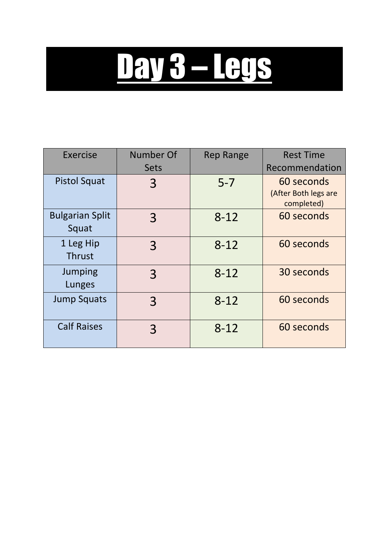# Day 3 – Legs

| Exercise                        | Number Of   | <b>Rep Range</b> | <b>Rest Time</b>                                 |
|---------------------------------|-------------|------------------|--------------------------------------------------|
|                                 | <b>Sets</b> |                  | Recommendation                                   |
| <b>Pistol Squat</b>             | 3           | $5 - 7$          | 60 seconds<br>(After Both legs are<br>completed) |
| <b>Bulgarian Split</b><br>Squat | 3           | $8 - 12$         | 60 seconds                                       |
| 1 Leg Hip<br><b>Thrust</b>      | 3           | $8 - 12$         | 60 seconds                                       |
| Jumping<br>Lunges               | 3           | $8 - 12$         | 30 seconds                                       |
| <b>Jump Squats</b>              | 3           | $8 - 12$         | 60 seconds                                       |
| <b>Calf Raises</b>              | 3           | $8 - 12$         | 60 seconds                                       |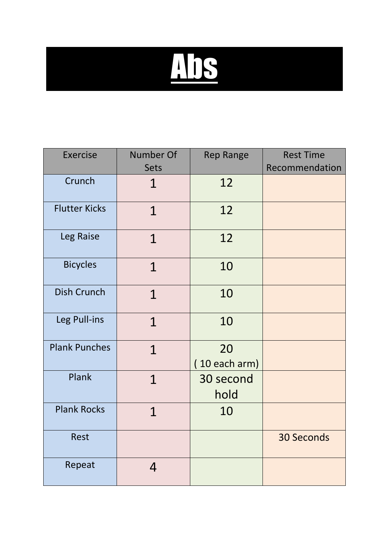

| <b>Exercise</b>      | Number Of      | <b>Rep Range</b>      | <b>Rest Time</b>  |
|----------------------|----------------|-----------------------|-------------------|
|                      | Sets           |                       | Recommendation    |
| Crunch               | 1              | 12                    |                   |
| <b>Flutter Kicks</b> | $\mathbf 1$    | 12                    |                   |
| Leg Raise            | $\mathbf{1}$   | 12                    |                   |
| <b>Bicycles</b>      | $\mathbf 1$    | 10                    |                   |
| <b>Dish Crunch</b>   | $\mathbf{1}$   | 10                    |                   |
| Leg Pull-ins         | 1              | 10                    |                   |
| <b>Plank Punches</b> | $\mathbf{1}$   | 20<br>$(10$ each arm) |                   |
| Plank                | $\overline{1}$ | 30 second<br>hold     |                   |
| <b>Plank Rocks</b>   | $\mathbf 1$    | 10                    |                   |
| <b>Rest</b>          |                |                       | <b>30 Seconds</b> |
| Repeat               | 4              |                       |                   |